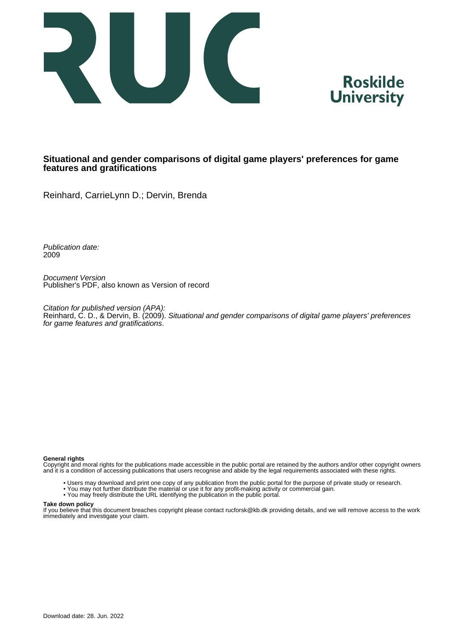



# **Situational and gender comparisons of digital game players' preferences for game features and gratifications**

Reinhard, CarrieLynn D.; Dervin, Brenda

Publication date: 2009

Document Version Publisher's PDF, also known as Version of record

Citation for published version (APA): Reinhard, C. D., & Dervin, B. (2009). Situational and gender comparisons of digital game players' preferences for game features and gratifications.

#### **General rights**

Copyright and moral rights for the publications made accessible in the public portal are retained by the authors and/or other copyright owners and it is a condition of accessing publications that users recognise and abide by the legal requirements associated with these rights.

- Users may download and print one copy of any publication from the public portal for the purpose of private study or research.
- You may not further distribute the material or use it for any profit-making activity or commercial gain.
- You may freely distribute the URL identifying the publication in the public portal.

#### **Take down policy**

If you believe that this document breaches copyright please contact rucforsk@kb.dk providing details, and we will remove access to the work immediately and investigate your claim.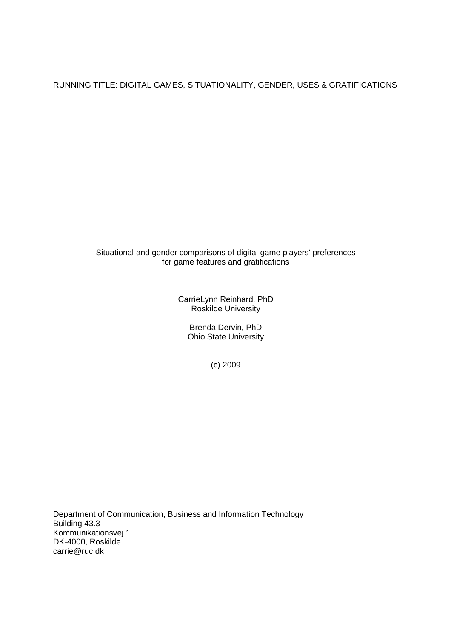RUNNING TITLE: DIGITAL GAMES, SITUATIONALITY, GENDER, USES & GRATIFICATIONS

# Situational and gender comparisons of digital game players' preferences for game features and gratifications

CarrieLynn Reinhard, PhD Roskilde University

> Brenda Dervin, PhD Ohio State University

> > (c) 2009

Department of Communication, Business and Information Technology Building 43.3 Kommunikationsvej 1 DK-4000, Roskilde carrie@ruc.dk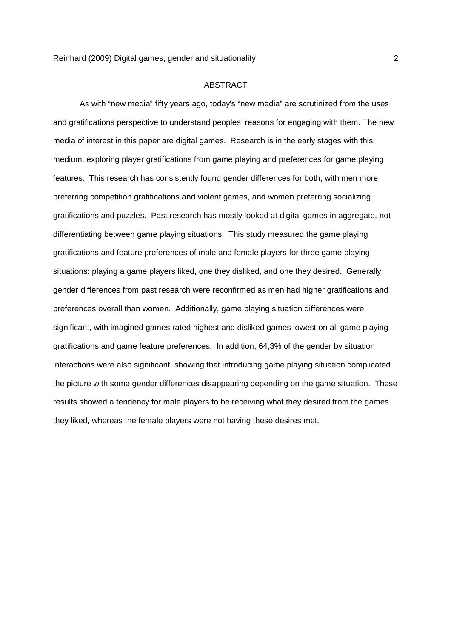## ABSTRACT

 As with "new media" fifty years ago, today's "new media" are scrutinized from the uses and gratifications perspective to understand peoples' reasons for engaging with them. The new media of interest in this paper are digital games. Research is in the early stages with this medium, exploring player gratifications from game playing and preferences for game playing features. This research has consistently found gender differences for both, with men more preferring competition gratifications and violent games, and women preferring socializing gratifications and puzzles. Past research has mostly looked at digital games in aggregate, not differentiating between game playing situations. This study measured the game playing gratifications and feature preferences of male and female players for three game playing situations: playing a game players liked, one they disliked, and one they desired. Generally, gender differences from past research were reconfirmed as men had higher gratifications and preferences overall than women. Additionally, game playing situation differences were significant, with imagined games rated highest and disliked games lowest on all game playing gratifications and game feature preferences. In addition, 64,3% of the gender by situation interactions were also significant, showing that introducing game playing situation complicated the picture with some gender differences disappearing depending on the game situation. These results showed a tendency for male players to be receiving what they desired from the games they liked, whereas the female players were not having these desires met.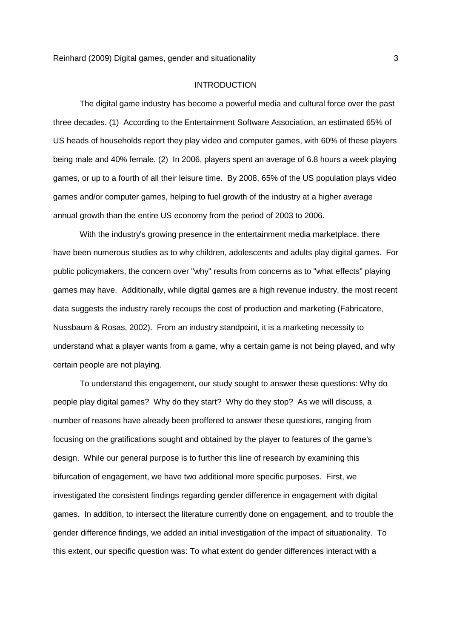# INTRODUCTION

 The digital game industry has become a powerful media and cultural force over the past three decades. (1) According to the Entertainment Software Association, an estimated 65% of US heads of households report they play video and computer games, with 60% of these players being male and 40% female. (2) In 2006, players spent an average of 6.8 hours a week playing games, or up to a fourth of all their leisure time. By 2008, 65% of the US population plays video games and/or computer games, helping to fuel growth of the industry at a higher average annual growth than the entire US economy from the period of 2003 to 2006.

 With the industry's growing presence in the entertainment media marketplace, there have been numerous studies as to why children, adolescents and adults play digital games. For public policymakers, the concern over "why" results from concerns as to "what effects" playing games may have. Additionally, while digital games are a high revenue industry, the most recent data suggests the industry rarely recoups the cost of production and marketing (Fabricatore, Nussbaum & Rosas, 2002). From an industry standpoint, it is a marketing necessity to understand what a player wants from a game, why a certain game is not being played, and why certain people are not playing.

 To understand this engagement, our study sought to answer these questions: Why do people play digital games? Why do they start? Why do they stop? As we will discuss, a number of reasons have already been proffered to answer these questions, ranging from focusing on the gratifications sought and obtained by the player to features of the game's design. While our general purpose is to further this line of research by examining this bifurcation of engagement, we have two additional more specific purposes. First, we investigated the consistent findings regarding gender difference in engagement with digital games. In addition, to intersect the literature currently done on engagement, and to trouble the gender difference findings, we added an initial investigation of the impact of situationality. To this extent, our specific question was: To what extent do gender differences interact with a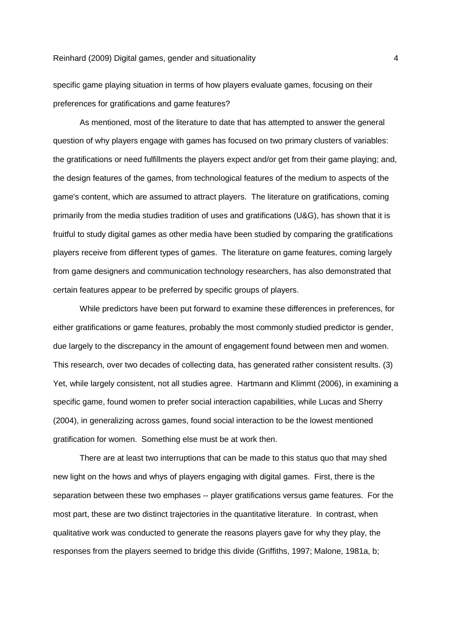specific game playing situation in terms of how players evaluate games, focusing on their preferences for gratifications and game features?

 As mentioned, most of the literature to date that has attempted to answer the general question of why players engage with games has focused on two primary clusters of variables: the gratifications or need fulfillments the players expect and/or get from their game playing; and, the design features of the games, from technological features of the medium to aspects of the game's content, which are assumed to attract players. The literature on gratifications, coming primarily from the media studies tradition of uses and gratifications (U&G), has shown that it is fruitful to study digital games as other media have been studied by comparing the gratifications players receive from different types of games. The literature on game features, coming largely from game designers and communication technology researchers, has also demonstrated that certain features appear to be preferred by specific groups of players.

 While predictors have been put forward to examine these differences in preferences, for either gratifications or game features, probably the most commonly studied predictor is gender, due largely to the discrepancy in the amount of engagement found between men and women. This research, over two decades of collecting data, has generated rather consistent results. (3) Yet, while largely consistent, not all studies agree. Hartmann and Klimmt (2006), in examining a specific game, found women to prefer social interaction capabilities, while Lucas and Sherry (2004), in generalizing across games, found social interaction to be the lowest mentioned gratification for women. Something else must be at work then.

 There are at least two interruptions that can be made to this status quo that may shed new light on the hows and whys of players engaging with digital games. First, there is the separation between these two emphases -- player gratifications versus game features. For the most part, these are two distinct trajectories in the quantitative literature. In contrast, when qualitative work was conducted to generate the reasons players gave for why they play, the responses from the players seemed to bridge this divide (Griffiths, 1997; Malone, 1981a, b;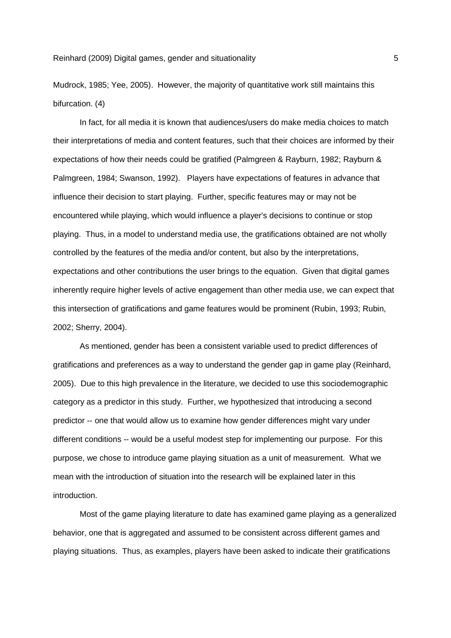Mudrock, 1985; Yee, 2005). However, the majority of quantitative work still maintains this bifurcation. (4)

 In fact, for all media it is known that audiences/users do make media choices to match their interpretations of media and content features, such that their choices are informed by their expectations of how their needs could be gratified (Palmgreen & Rayburn, 1982; Rayburn & Palmgreen, 1984; Swanson, 1992). Players have expectations of features in advance that influence their decision to start playing. Further, specific features may or may not be encountered while playing, which would influence a player's decisions to continue or stop playing. Thus, in a model to understand media use, the gratifications obtained are not wholly controlled by the features of the media and/or content, but also by the interpretations, expectations and other contributions the user brings to the equation. Given that digital games inherently require higher levels of active engagement than other media use, we can expect that this intersection of gratifications and game features would be prominent (Rubin, 1993; Rubin, 2002; Sherry, 2004).

 As mentioned, gender has been a consistent variable used to predict differences of gratifications and preferences as a way to understand the gender gap in game play (Reinhard, 2005). Due to this high prevalence in the literature, we decided to use this sociodemographic category as a predictor in this study. Further, we hypothesized that introducing a second predictor -- one that would allow us to examine how gender differences might vary under different conditions -- would be a useful modest step for implementing our purpose. For this purpose, we chose to introduce game playing situation as a unit of measurement. What we mean with the introduction of situation into the research will be explained later in this introduction.

 Most of the game playing literature to date has examined game playing as a generalized behavior, one that is aggregated and assumed to be consistent across different games and playing situations. Thus, as examples, players have been asked to indicate their gratifications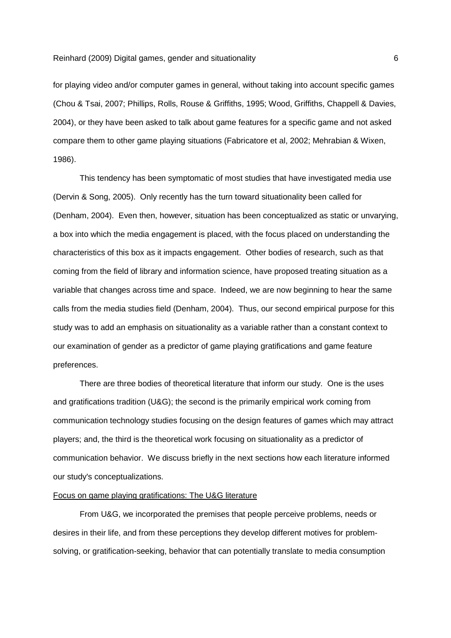for playing video and/or computer games in general, without taking into account specific games (Chou & Tsai, 2007; Phillips, Rolls, Rouse & Griffiths, 1995; Wood, Griffiths, Chappell & Davies, 2004), or they have been asked to talk about game features for a specific game and not asked compare them to other game playing situations (Fabricatore et al, 2002; Mehrabian & Wixen, 1986).

 This tendency has been symptomatic of most studies that have investigated media use (Dervin & Song, 2005). Only recently has the turn toward situationality been called for (Denham, 2004). Even then, however, situation has been conceptualized as static or unvarying, a box into which the media engagement is placed, with the focus placed on understanding the characteristics of this box as it impacts engagement. Other bodies of research, such as that coming from the field of library and information science, have proposed treating situation as a variable that changes across time and space. Indeed, we are now beginning to hear the same calls from the media studies field (Denham, 2004). Thus, our second empirical purpose for this study was to add an emphasis on situationality as a variable rather than a constant context to our examination of gender as a predictor of game playing gratifications and game feature preferences.

 There are three bodies of theoretical literature that inform our study. One is the uses and gratifications tradition (U&G); the second is the primarily empirical work coming from communication technology studies focusing on the design features of games which may attract players; and, the third is the theoretical work focusing on situationality as a predictor of communication behavior. We discuss briefly in the next sections how each literature informed our study's conceptualizations.

# Focus on game playing gratifications: The U&G literature

 From U&G, we incorporated the premises that people perceive problems, needs or desires in their life, and from these perceptions they develop different motives for problemsolving, or gratification-seeking, behavior that can potentially translate to media consumption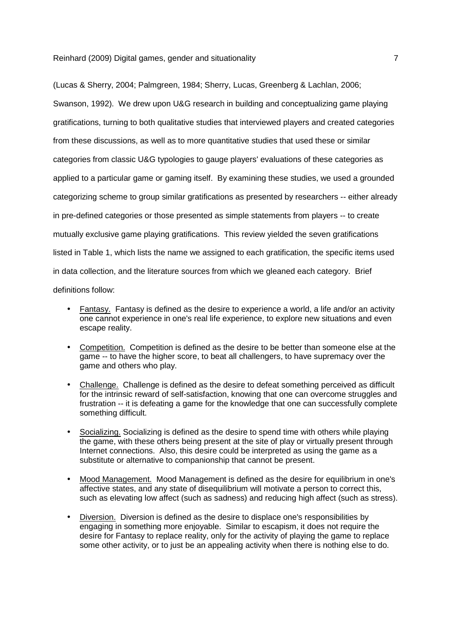(Lucas & Sherry, 2004; Palmgreen, 1984; Sherry, Lucas, Greenberg & Lachlan, 2006; Swanson, 1992). We drew upon U&G research in building and conceptualizing game playing gratifications, turning to both qualitative studies that interviewed players and created categories from these discussions, as well as to more quantitative studies that used these or similar categories from classic U&G typologies to gauge players' evaluations of these categories as applied to a particular game or gaming itself. By examining these studies, we used a grounded categorizing scheme to group similar gratifications as presented by researchers -- either already in pre-defined categories or those presented as simple statements from players -- to create mutually exclusive game playing gratifications. This review yielded the seven gratifications listed in Table 1, which lists the name we assigned to each gratification, the specific items used in data collection, and the literature sources from which we gleaned each category. Brief definitions follow:

# • Fantasy. Fantasy is defined as the desire to experience a world, a life and/or an activity one cannot experience in one's real life experience, to explore new situations and even escape reality.

- Competition. Competition is defined as the desire to be better than someone else at the game -- to have the higher score, to beat all challengers, to have supremacy over the game and others who play.
- Challenge. Challenge is defined as the desire to defeat something perceived as difficult for the intrinsic reward of self-satisfaction, knowing that one can overcome struggles and frustration -- it is defeating a game for the knowledge that one can successfully complete something difficult.
- Socializing. Socializing is defined as the desire to spend time with others while playing the game, with these others being present at the site of play or virtually present through Internet connections. Also, this desire could be interpreted as using the game as a substitute or alternative to companionship that cannot be present.
- Mood Management. Mood Management is defined as the desire for equilibrium in one's affective states, and any state of disequilibrium will motivate a person to correct this, such as elevating low affect (such as sadness) and reducing high affect (such as stress).
- Diversion. Diversion is defined as the desire to displace one's responsibilities by engaging in something more enjoyable. Similar to escapism, it does not require the desire for Fantasy to replace reality, only for the activity of playing the game to replace some other activity, or to just be an appealing activity when there is nothing else to do.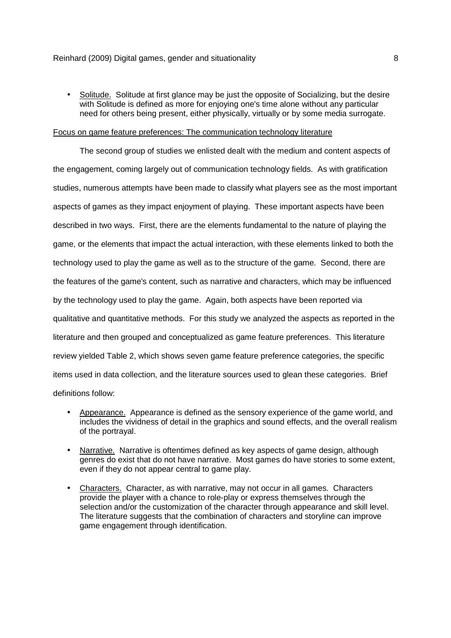• Solitude. Solitude at first glance may be just the opposite of Socializing, but the desire with Solitude is defined as more for enjoying one's time alone without any particular need for others being present, either physically, virtually or by some media surrogate.

# Focus on game feature preferences: The communication technology literature

 The second group of studies we enlisted dealt with the medium and content aspects of the engagement, coming largely out of communication technology fields. As with gratification studies, numerous attempts have been made to classify what players see as the most important aspects of games as they impact enjoyment of playing. These important aspects have been described in two ways. First, there are the elements fundamental to the nature of playing the game, or the elements that impact the actual interaction, with these elements linked to both the technology used to play the game as well as to the structure of the game. Second, there are the features of the game's content, such as narrative and characters, which may be influenced by the technology used to play the game. Again, both aspects have been reported via qualitative and quantitative methods. For this study we analyzed the aspects as reported in the literature and then grouped and conceptualized as game feature preferences. This literature review yielded Table 2, which shows seven game feature preference categories, the specific items used in data collection, and the literature sources used to glean these categories. Brief definitions follow:

- Appearance. Appearance is defined as the sensory experience of the game world, and includes the vividness of detail in the graphics and sound effects, and the overall realism of the portrayal.
- Narrative. Narrative is oftentimes defined as key aspects of game design, although genres do exist that do not have narrative. Most games do have stories to some extent, even if they do not appear central to game play.
- Characters. Character, as with narrative, may not occur in all games. Characters provide the player with a chance to role-play or express themselves through the selection and/or the customization of the character through appearance and skill level. The literature suggests that the combination of characters and storyline can improve game engagement through identification.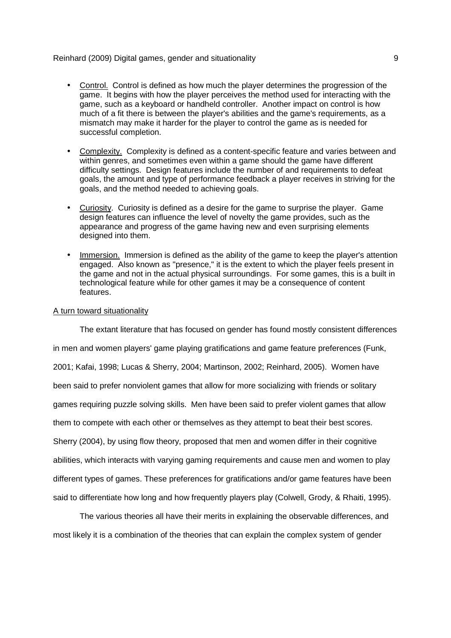- Control. Control is defined as how much the player determines the progression of the game. It begins with how the player perceives the method used for interacting with the game, such as a keyboard or handheld controller. Another impact on control is how much of a fit there is between the player's abilities and the game's requirements, as a mismatch may make it harder for the player to control the game as is needed for successful completion.
- Complexity. Complexity is defined as a content-specific feature and varies between and within genres, and sometimes even within a game should the game have different difficulty settings. Design features include the number of and requirements to defeat goals, the amount and type of performance feedback a player receives in striving for the goals, and the method needed to achieving goals.
- Curiosity. Curiosity is defined as a desire for the game to surprise the player. Game design features can influence the level of novelty the game provides, such as the appearance and progress of the game having new and even surprising elements designed into them.
- Immersion. Immersion is defined as the ability of the game to keep the player's attention engaged. Also known as "presence," it is the extent to which the player feels present in the game and not in the actual physical surroundings. For some games, this is a built in technological feature while for other games it may be a consequence of content features.

# A turn toward situationality

The extant literature that has focused on gender has found mostly consistent differences in men and women players' game playing gratifications and game feature preferences (Funk, 2001; Kafai, 1998; Lucas & Sherry, 2004; Martinson, 2002; Reinhard, 2005). Women have been said to prefer nonviolent games that allow for more socializing with friends or solitary games requiring puzzle solving skills. Men have been said to prefer violent games that allow them to compete with each other or themselves as they attempt to beat their best scores. Sherry (2004), by using flow theory, proposed that men and women differ in their cognitive abilities, which interacts with varying gaming requirements and cause men and women to play different types of games. These preferences for gratifications and/or game features have been said to differentiate how long and how frequently players play (Colwell, Grody, & Rhaiti, 1995).

The various theories all have their merits in explaining the observable differences, and most likely it is a combination of the theories that can explain the complex system of gender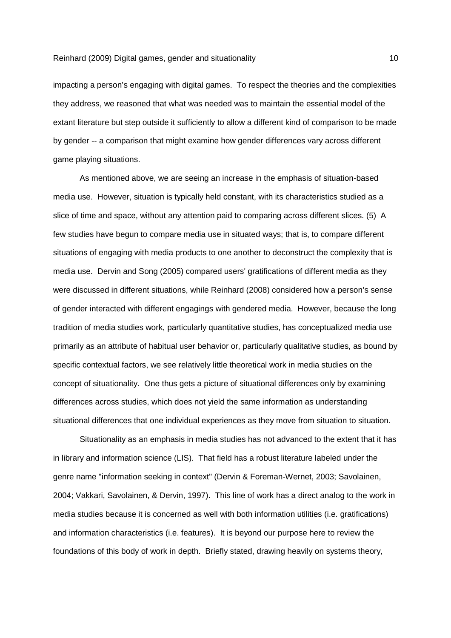impacting a person's engaging with digital games. To respect the theories and the complexities they address, we reasoned that what was needed was to maintain the essential model of the extant literature but step outside it sufficiently to allow a different kind of comparison to be made by gender -- a comparison that might examine how gender differences vary across different game playing situations.

 As mentioned above, we are seeing an increase in the emphasis of situation-based media use. However, situation is typically held constant, with its characteristics studied as a slice of time and space, without any attention paid to comparing across different slices. (5) A few studies have begun to compare media use in situated ways; that is, to compare different situations of engaging with media products to one another to deconstruct the complexity that is media use. Dervin and Song (2005) compared users' gratifications of different media as they were discussed in different situations, while Reinhard (2008) considered how a person's sense of gender interacted with different engagings with gendered media. However, because the long tradition of media studies work, particularly quantitative studies, has conceptualized media use primarily as an attribute of habitual user behavior or, particularly qualitative studies, as bound by specific contextual factors, we see relatively little theoretical work in media studies on the concept of situationality. One thus gets a picture of situational differences only by examining differences across studies, which does not yield the same information as understanding situational differences that one individual experiences as they move from situation to situation.

 Situationality as an emphasis in media studies has not advanced to the extent that it has in library and information science (LIS). That field has a robust literature labeled under the genre name "information seeking in context" (Dervin & Foreman-Wernet, 2003; Savolainen, 2004; Vakkari, Savolainen, & Dervin, 1997). This line of work has a direct analog to the work in media studies because it is concerned as well with both information utilities (i.e. gratifications) and information characteristics (i.e. features). It is beyond our purpose here to review the foundations of this body of work in depth. Briefly stated, drawing heavily on systems theory,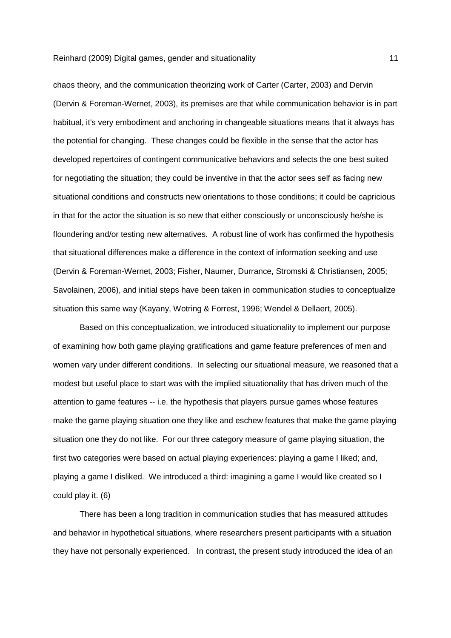chaos theory, and the communication theorizing work of Carter (Carter, 2003) and Dervin (Dervin & Foreman-Wernet, 2003), its premises are that while communication behavior is in part habitual, it's very embodiment and anchoring in changeable situations means that it always has the potential for changing. These changes could be flexible in the sense that the actor has developed repertoires of contingent communicative behaviors and selects the one best suited for negotiating the situation; they could be inventive in that the actor sees self as facing new situational conditions and constructs new orientations to those conditions; it could be capricious in that for the actor the situation is so new that either consciously or unconsciously he/she is floundering and/or testing new alternatives. A robust line of work has confirmed the hypothesis that situational differences make a difference in the context of information seeking and use (Dervin & Foreman-Wernet, 2003; Fisher, Naumer, Durrance, Stromski & Christiansen, 2005; Savolainen, 2006), and initial steps have been taken in communication studies to conceptualize situation this same way (Kayany, Wotring & Forrest, 1996; Wendel & Dellaert, 2005).

 Based on this conceptualization, we introduced situationality to implement our purpose of examining how both game playing gratifications and game feature preferences of men and women vary under different conditions. In selecting our situational measure, we reasoned that a modest but useful place to start was with the implied situationality that has driven much of the attention to game features -- i.e. the hypothesis that players pursue games whose features make the game playing situation one they like and eschew features that make the game playing situation one they do not like. For our three category measure of game playing situation, the first two categories were based on actual playing experiences: playing a game I liked; and, playing a game I disliked. We introduced a third: imagining a game I would like created so I could play it. (6)

 There has been a long tradition in communication studies that has measured attitudes and behavior in hypothetical situations, where researchers present participants with a situation they have not personally experienced. In contrast, the present study introduced the idea of an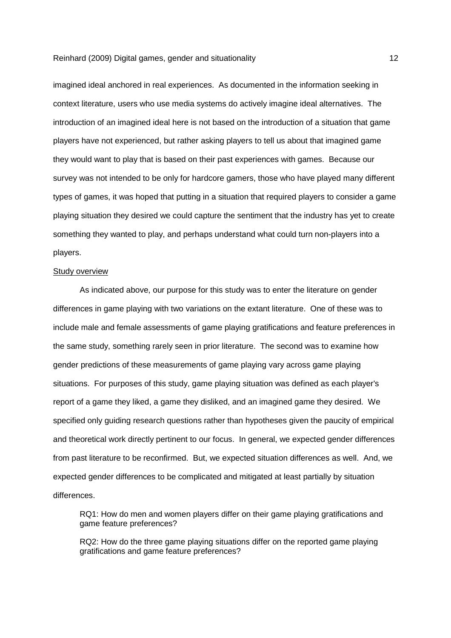imagined ideal anchored in real experiences. As documented in the information seeking in context literature, users who use media systems do actively imagine ideal alternatives. The introduction of an imagined ideal here is not based on the introduction of a situation that game players have not experienced, but rather asking players to tell us about that imagined game they would want to play that is based on their past experiences with games. Because our survey was not intended to be only for hardcore gamers, those who have played many different types of games, it was hoped that putting in a situation that required players to consider a game playing situation they desired we could capture the sentiment that the industry has yet to create something they wanted to play, and perhaps understand what could turn non-players into a players.

#### Study overview

 As indicated above, our purpose for this study was to enter the literature on gender differences in game playing with two variations on the extant literature. One of these was to include male and female assessments of game playing gratifications and feature preferences in the same study, something rarely seen in prior literature. The second was to examine how gender predictions of these measurements of game playing vary across game playing situations. For purposes of this study, game playing situation was defined as each player's report of a game they liked, a game they disliked, and an imagined game they desired. We specified only guiding research questions rather than hypotheses given the paucity of empirical and theoretical work directly pertinent to our focus. In general, we expected gender differences from past literature to be reconfirmed. But, we expected situation differences as well. And, we expected gender differences to be complicated and mitigated at least partially by situation differences.

RQ1: How do men and women players differ on their game playing gratifications and game feature preferences?

RQ2: How do the three game playing situations differ on the reported game playing gratifications and game feature preferences?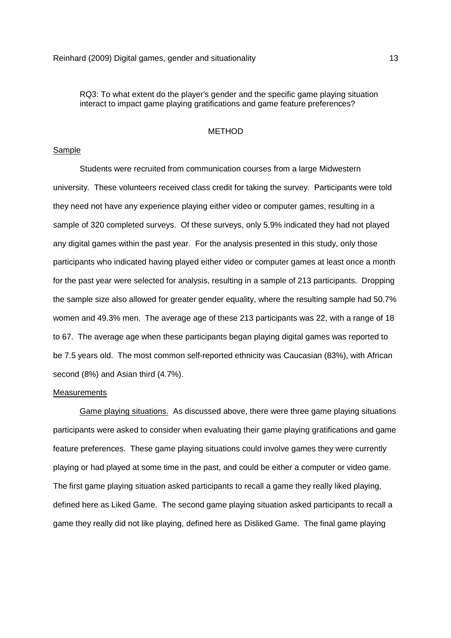RQ3: To what extent do the player's gender and the specific game playing situation interact to impact game playing gratifications and game feature preferences?

# METHOD

# Sample

 Students were recruited from communication courses from a large Midwestern university. These volunteers received class credit for taking the survey. Participants were told they need not have any experience playing either video or computer games, resulting in a sample of 320 completed surveys. Of these surveys, only 5.9% indicated they had not played any digital games within the past year. For the analysis presented in this study, only those participants who indicated having played either video or computer games at least once a month for the past year were selected for analysis, resulting in a sample of 213 participants. Dropping the sample size also allowed for greater gender equality, where the resulting sample had 50.7% women and 49.3% men. The average age of these 213 participants was 22, with a range of 18 to 67. The average age when these participants began playing digital games was reported to be 7.5 years old. The most common self-reported ethnicity was Caucasian (83%), with African second (8%) and Asian third (4.7%).

### Measurements

 Game playing situations. As discussed above, there were three game playing situations participants were asked to consider when evaluating their game playing gratifications and game feature preferences. These game playing situations could involve games they were currently playing or had played at some time in the past, and could be either a computer or video game. The first game playing situation asked participants to recall a game they really liked playing, defined here as Liked Game. The second game playing situation asked participants to recall a game they really did not like playing, defined here as Disliked Game. The final game playing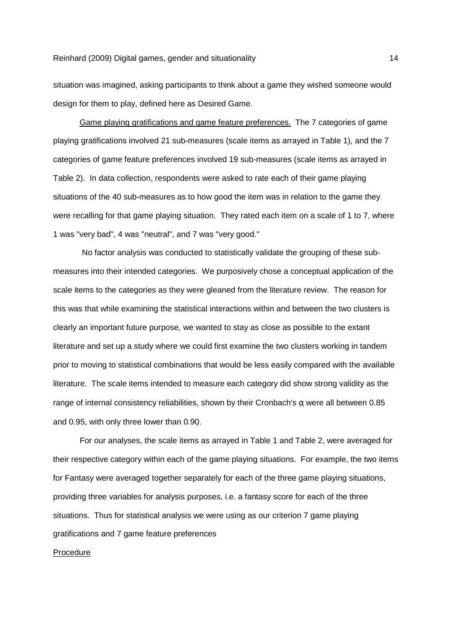situation was imagined, asking participants to think about a game they wished someone would design for them to play, defined here as Desired Game.

 Game playing gratifications and game feature preferences. The 7 categories of game playing gratifications involved 21 sub-measures (scale items as arrayed in Table 1), and the 7 categories of game feature preferences involved 19 sub-measures (scale items as arrayed in Table 2). In data collection, respondents were asked to rate each of their game playing situations of the 40 sub-measures as to how good the item was in relation to the game they were recalling for that game playing situation. They rated each item on a scale of 1 to 7, where 1 was "very bad", 4 was "neutral", and 7 was "very good."

 No factor analysis was conducted to statistically validate the grouping of these submeasures into their intended categories. We purposively chose a conceptual application of the scale items to the categories as they were gleaned from the literature review. The reason for this was that while examining the statistical interactions within and between the two clusters is clearly an important future purpose, we wanted to stay as close as possible to the extant literature and set up a study where we could first examine the two clusters working in tandem prior to moving to statistical combinations that would be less easily compared with the available literature. The scale items intended to measure each category did show strong validity as the range of internal consistency reliabilities, shown by their Cronbach's α were all between  $0.85$ and 0.95, with only three lower than 0.90.

 For our analyses, the scale items as arrayed in Table 1 and Table 2, were averaged for their respective category within each of the game playing situations. For example, the two items for Fantasy were averaged together separately for each of the three game playing situations, providing three variables for analysis purposes, i.e. a fantasy score for each of the three situations. Thus for statistical analysis we were using as our criterion 7 game playing gratifications and 7 game feature preferences

# Procedure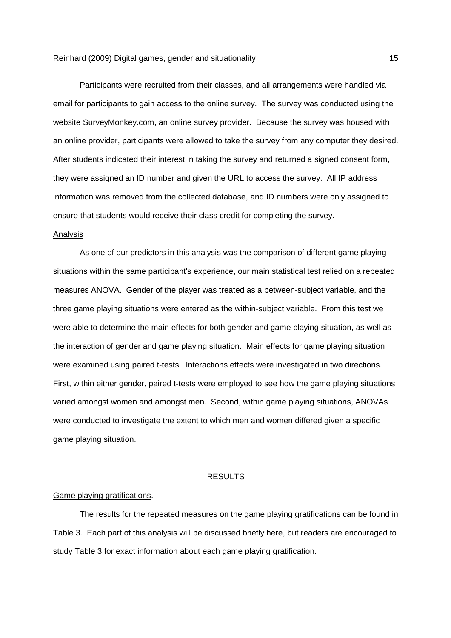Participants were recruited from their classes, and all arrangements were handled via email for participants to gain access to the online survey. The survey was conducted using the website SurveyMonkey.com, an online survey provider. Because the survey was housed with an online provider, participants were allowed to take the survey from any computer they desired. After students indicated their interest in taking the survey and returned a signed consent form, they were assigned an ID number and given the URL to access the survey. All IP address information was removed from the collected database, and ID numbers were only assigned to ensure that students would receive their class credit for completing the survey.

#### Analysis

 As one of our predictors in this analysis was the comparison of different game playing situations within the same participant's experience, our main statistical test relied on a repeated measures ANOVA. Gender of the player was treated as a between-subject variable, and the three game playing situations were entered as the within-subject variable. From this test we were able to determine the main effects for both gender and game playing situation, as well as the interaction of gender and game playing situation. Main effects for game playing situation were examined using paired t-tests. Interactions effects were investigated in two directions. First, within either gender, paired t-tests were employed to see how the game playing situations varied amongst women and amongst men. Second, within game playing situations, ANOVAs were conducted to investigate the extent to which men and women differed given a specific game playing situation.

# RESULTS

# Game playing gratifications.

 The results for the repeated measures on the game playing gratifications can be found in Table 3. Each part of this analysis will be discussed briefly here, but readers are encouraged to study Table 3 for exact information about each game playing gratification.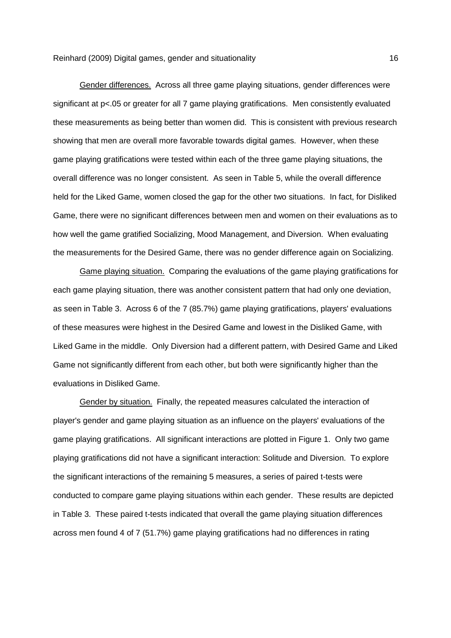Gender differences. Across all three game playing situations, gender differences were significant at p<.05 or greater for all 7 game playing gratifications. Men consistently evaluated these measurements as being better than women did. This is consistent with previous research showing that men are overall more favorable towards digital games. However, when these game playing gratifications were tested within each of the three game playing situations, the overall difference was no longer consistent. As seen in Table 5, while the overall difference held for the Liked Game, women closed the gap for the other two situations. In fact, for Disliked Game, there were no significant differences between men and women on their evaluations as to how well the game gratified Socializing, Mood Management, and Diversion. When evaluating the measurements for the Desired Game, there was no gender difference again on Socializing.

 Game playing situation. Comparing the evaluations of the game playing gratifications for each game playing situation, there was another consistent pattern that had only one deviation, as seen in Table 3. Across 6 of the 7 (85.7%) game playing gratifications, players' evaluations of these measures were highest in the Desired Game and lowest in the Disliked Game, with Liked Game in the middle. Only Diversion had a different pattern, with Desired Game and Liked Game not significantly different from each other, but both were significantly higher than the evaluations in Disliked Game.

 Gender by situation. Finally, the repeated measures calculated the interaction of player's gender and game playing situation as an influence on the players' evaluations of the game playing gratifications. All significant interactions are plotted in Figure 1. Only two game playing gratifications did not have a significant interaction: Solitude and Diversion. To explore the significant interactions of the remaining 5 measures, a series of paired t-tests were conducted to compare game playing situations within each gender. These results are depicted in Table 3. These paired t-tests indicated that overall the game playing situation differences across men found 4 of 7 (51.7%) game playing gratifications had no differences in rating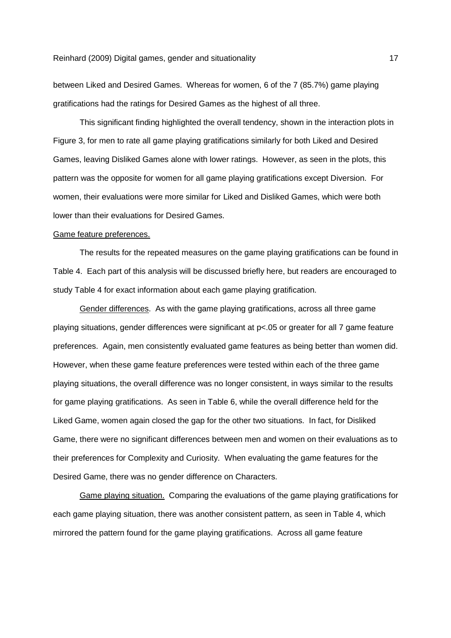between Liked and Desired Games. Whereas for women, 6 of the 7 (85.7%) game playing gratifications had the ratings for Desired Games as the highest of all three.

 This significant finding highlighted the overall tendency, shown in the interaction plots in Figure 3, for men to rate all game playing gratifications similarly for both Liked and Desired Games, leaving Disliked Games alone with lower ratings. However, as seen in the plots, this pattern was the opposite for women for all game playing gratifications except Diversion. For women, their evaluations were more similar for Liked and Disliked Games, which were both lower than their evaluations for Desired Games.

#### Game feature preferences.

 The results for the repeated measures on the game playing gratifications can be found in Table 4. Each part of this analysis will be discussed briefly here, but readers are encouraged to study Table 4 for exact information about each game playing gratification.

 Gender differences. As with the game playing gratifications, across all three game playing situations, gender differences were significant at p<.05 or greater for all 7 game feature preferences. Again, men consistently evaluated game features as being better than women did. However, when these game feature preferences were tested within each of the three game playing situations, the overall difference was no longer consistent, in ways similar to the results for game playing gratifications. As seen in Table 6, while the overall difference held for the Liked Game, women again closed the gap for the other two situations. In fact, for Disliked Game, there were no significant differences between men and women on their evaluations as to their preferences for Complexity and Curiosity. When evaluating the game features for the Desired Game, there was no gender difference on Characters.

 Game playing situation. Comparing the evaluations of the game playing gratifications for each game playing situation, there was another consistent pattern, as seen in Table 4, which mirrored the pattern found for the game playing gratifications. Across all game feature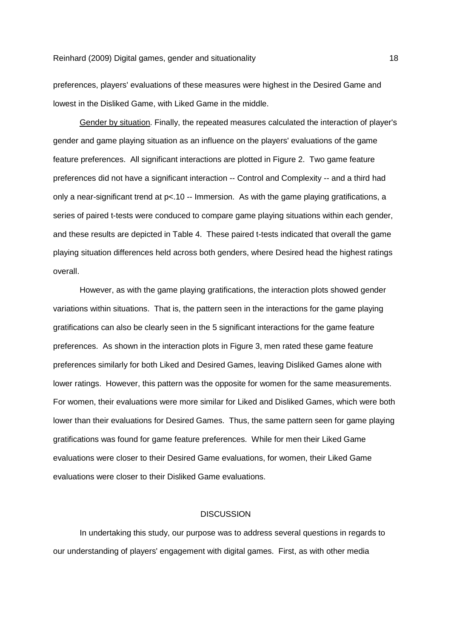preferences, players' evaluations of these measures were highest in the Desired Game and lowest in the Disliked Game, with Liked Game in the middle.

 Gender by situation. Finally, the repeated measures calculated the interaction of player's gender and game playing situation as an influence on the players' evaluations of the game feature preferences. All significant interactions are plotted in Figure 2. Two game feature preferences did not have a significant interaction -- Control and Complexity -- and a third had only a near-significant trend at p<.10 -- Immersion. As with the game playing gratifications, a series of paired t-tests were conduced to compare game playing situations within each gender, and these results are depicted in Table 4. These paired t-tests indicated that overall the game playing situation differences held across both genders, where Desired head the highest ratings overall.

 However, as with the game playing gratifications, the interaction plots showed gender variations within situations. That is, the pattern seen in the interactions for the game playing gratifications can also be clearly seen in the 5 significant interactions for the game feature preferences. As shown in the interaction plots in Figure 3, men rated these game feature preferences similarly for both Liked and Desired Games, leaving Disliked Games alone with lower ratings. However, this pattern was the opposite for women for the same measurements. For women, their evaluations were more similar for Liked and Disliked Games, which were both lower than their evaluations for Desired Games. Thus, the same pattern seen for game playing gratifications was found for game feature preferences. While for men their Liked Game evaluations were closer to their Desired Game evaluations, for women, their Liked Game evaluations were closer to their Disliked Game evaluations.

#### **DISCUSSION**

 In undertaking this study, our purpose was to address several questions in regards to our understanding of players' engagement with digital games. First, as with other media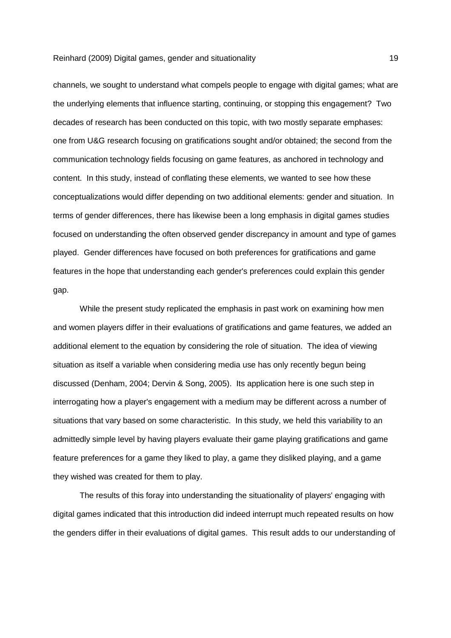channels, we sought to understand what compels people to engage with digital games; what are the underlying elements that influence starting, continuing, or stopping this engagement? Two decades of research has been conducted on this topic, with two mostly separate emphases: one from U&G research focusing on gratifications sought and/or obtained; the second from the communication technology fields focusing on game features, as anchored in technology and content. In this study, instead of conflating these elements, we wanted to see how these conceptualizations would differ depending on two additional elements: gender and situation. In terms of gender differences, there has likewise been a long emphasis in digital games studies focused on understanding the often observed gender discrepancy in amount and type of games played. Gender differences have focused on both preferences for gratifications and game features in the hope that understanding each gender's preferences could explain this gender gap.

 While the present study replicated the emphasis in past work on examining how men and women players differ in their evaluations of gratifications and game features, we added an additional element to the equation by considering the role of situation. The idea of viewing situation as itself a variable when considering media use has only recently begun being discussed (Denham, 2004; Dervin & Song, 2005). Its application here is one such step in interrogating how a player's engagement with a medium may be different across a number of situations that vary based on some characteristic. In this study, we held this variability to an admittedly simple level by having players evaluate their game playing gratifications and game feature preferences for a game they liked to play, a game they disliked playing, and a game they wished was created for them to play.

 The results of this foray into understanding the situationality of players' engaging with digital games indicated that this introduction did indeed interrupt much repeated results on how the genders differ in their evaluations of digital games. This result adds to our understanding of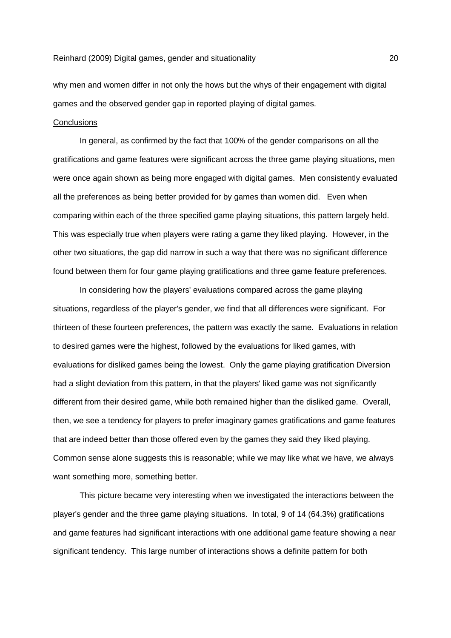why men and women differ in not only the hows but the whys of their engagement with digital games and the observed gender gap in reported playing of digital games.

# **Conclusions**

 In general, as confirmed by the fact that 100% of the gender comparisons on all the gratifications and game features were significant across the three game playing situations, men were once again shown as being more engaged with digital games. Men consistently evaluated all the preferences as being better provided for by games than women did. Even when comparing within each of the three specified game playing situations, this pattern largely held. This was especially true when players were rating a game they liked playing. However, in the other two situations, the gap did narrow in such a way that there was no significant difference found between them for four game playing gratifications and three game feature preferences.

 In considering how the players' evaluations compared across the game playing situations, regardless of the player's gender, we find that all differences were significant. For thirteen of these fourteen preferences, the pattern was exactly the same. Evaluations in relation to desired games were the highest, followed by the evaluations for liked games, with evaluations for disliked games being the lowest. Only the game playing gratification Diversion had a slight deviation from this pattern, in that the players' liked game was not significantly different from their desired game, while both remained higher than the disliked game. Overall, then, we see a tendency for players to prefer imaginary games gratifications and game features that are indeed better than those offered even by the games they said they liked playing. Common sense alone suggests this is reasonable; while we may like what we have, we always want something more, something better.

 This picture became very interesting when we investigated the interactions between the player's gender and the three game playing situations. In total, 9 of 14 (64.3%) gratifications and game features had significant interactions with one additional game feature showing a near significant tendency. This large number of interactions shows a definite pattern for both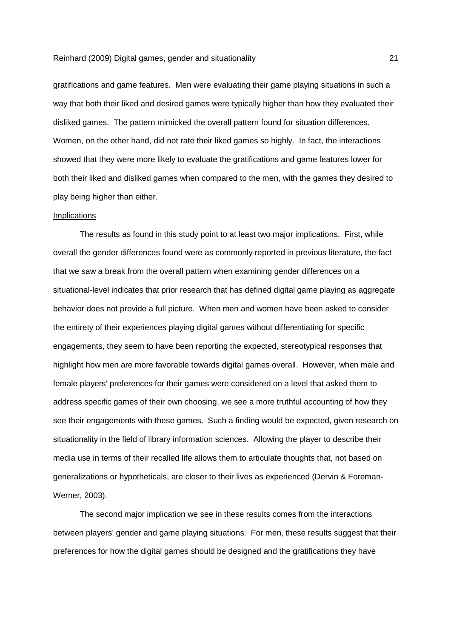gratifications and game features. Men were evaluating their game playing situations in such a way that both their liked and desired games were typically higher than how they evaluated their disliked games. The pattern mimicked the overall pattern found for situation differences. Women, on the other hand, did not rate their liked games so highly. In fact, the interactions showed that they were more likely to evaluate the gratifications and game features lower for both their liked and disliked games when compared to the men, with the games they desired to play being higher than either.

### **Implications**

 The results as found in this study point to at least two major implications. First, while overall the gender differences found were as commonly reported in previous literature, the fact that we saw a break from the overall pattern when examining gender differences on a situational-level indicates that prior research that has defined digital game playing as aggregate behavior does not provide a full picture. When men and women have been asked to consider the entirety of their experiences playing digital games without differentiating for specific engagements, they seem to have been reporting the expected, stereotypical responses that highlight how men are more favorable towards digital games overall. However, when male and female players' preferences for their games were considered on a level that asked them to address specific games of their own choosing, we see a more truthful accounting of how they see their engagements with these games. Such a finding would be expected, given research on situationality in the field of library information sciences. Allowing the player to describe their media use in terms of their recalled life allows them to articulate thoughts that, not based on generalizations or hypotheticals, are closer to their lives as experienced (Dervin & Foreman-Werner, 2003).

 The second major implication we see in these results comes from the interactions between players' gender and game playing situations. For men, these results suggest that their preferences for how the digital games should be designed and the gratifications they have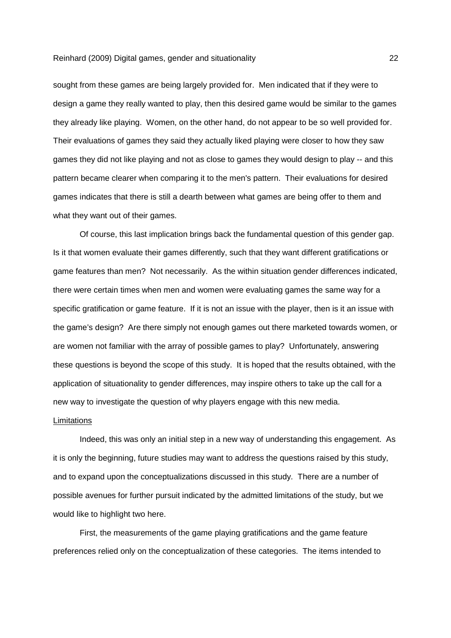sought from these games are being largely provided for. Men indicated that if they were to design a game they really wanted to play, then this desired game would be similar to the games they already like playing. Women, on the other hand, do not appear to be so well provided for. Their evaluations of games they said they actually liked playing were closer to how they saw games they did not like playing and not as close to games they would design to play -- and this pattern became clearer when comparing it to the men's pattern. Their evaluations for desired games indicates that there is still a dearth between what games are being offer to them and what they want out of their games.

 Of course, this last implication brings back the fundamental question of this gender gap. Is it that women evaluate their games differently, such that they want different gratifications or game features than men? Not necessarily. As the within situation gender differences indicated, there were certain times when men and women were evaluating games the same way for a specific gratification or game feature. If it is not an issue with the player, then is it an issue with the game's design? Are there simply not enough games out there marketed towards women, or are women not familiar with the array of possible games to play? Unfortunately, answering these questions is beyond the scope of this study. It is hoped that the results obtained, with the application of situationality to gender differences, may inspire others to take up the call for a new way to investigate the question of why players engage with this new media.

#### **Limitations**

 Indeed, this was only an initial step in a new way of understanding this engagement. As it is only the beginning, future studies may want to address the questions raised by this study, and to expand upon the conceptualizations discussed in this study. There are a number of possible avenues for further pursuit indicated by the admitted limitations of the study, but we would like to highlight two here.

 First, the measurements of the game playing gratifications and the game feature preferences relied only on the conceptualization of these categories. The items intended to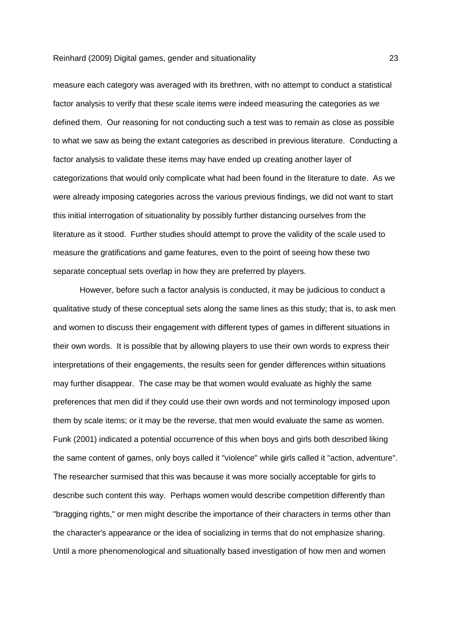measure each category was averaged with its brethren, with no attempt to conduct a statistical factor analysis to verify that these scale items were indeed measuring the categories as we defined them. Our reasoning for not conducting such a test was to remain as close as possible to what we saw as being the extant categories as described in previous literature. Conducting a factor analysis to validate these items may have ended up creating another layer of categorizations that would only complicate what had been found in the literature to date. As we were already imposing categories across the various previous findings, we did not want to start this initial interrogation of situationality by possibly further distancing ourselves from the literature as it stood. Further studies should attempt to prove the validity of the scale used to measure the gratifications and game features, even to the point of seeing how these two separate conceptual sets overlap in how they are preferred by players.

 However, before such a factor analysis is conducted, it may be judicious to conduct a qualitative study of these conceptual sets along the same lines as this study; that is, to ask men and women to discuss their engagement with different types of games in different situations in their own words. It is possible that by allowing players to use their own words to express their interpretations of their engagements, the results seen for gender differences within situations may further disappear. The case may be that women would evaluate as highly the same preferences that men did if they could use their own words and not terminology imposed upon them by scale items; or it may be the reverse, that men would evaluate the same as women. Funk (2001) indicated a potential occurrence of this when boys and girls both described liking the same content of games, only boys called it "violence" while girls called it "action, adventure". The researcher surmised that this was because it was more socially acceptable for girls to describe such content this way. Perhaps women would describe competition differently than "bragging rights," or men might describe the importance of their characters in terms other than the character's appearance or the idea of socializing in terms that do not emphasize sharing. Until a more phenomenological and situationally based investigation of how men and women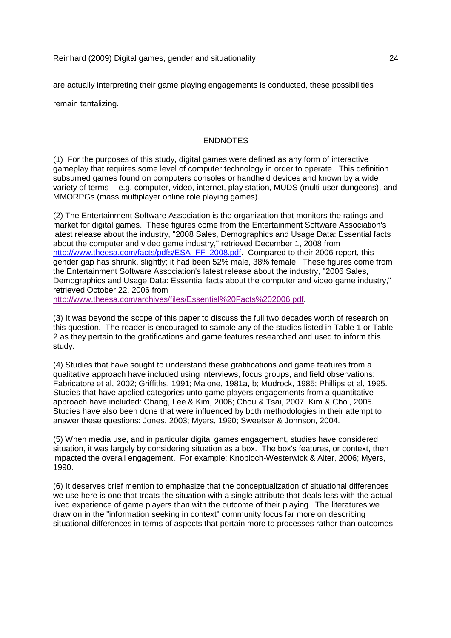are actually interpreting their game playing engagements is conducted, these possibilities

remain tantalizing.

# **ENDNOTES**

(1) For the purposes of this study, digital games were defined as any form of interactive gameplay that requires some level of computer technology in order to operate. This definition subsumed games found on computers consoles or handheld devices and known by a wide variety of terms -- e.g. computer, video, internet, play station, MUDS (multi-user dungeons), and MMORPGs (mass multiplayer online role playing games).

(2) The Entertainment Software Association is the organization that monitors the ratings and market for digital games. These figures come from the Entertainment Software Association's latest release about the industry, "2008 Sales, Demographics and Usage Data: Essential facts about the computer and video game industry," retrieved December 1, 2008 from http://www.theesa.com/facts/pdfs/ESA\_FF\_2008.pdf. Compared to their 2006 report, this gender gap has shrunk, slightly; it had been 52% male, 38% female. These figures come from the Entertainment Software Association's latest release about the industry, "2006 Sales, Demographics and Usage Data: Essential facts about the computer and video game industry," retrieved October 22, 2006 from

http://www.theesa.com/archives/files/Essential%20Facts%202006.pdf.

(3) It was beyond the scope of this paper to discuss the full two decades worth of research on this question. The reader is encouraged to sample any of the studies listed in Table 1 or Table 2 as they pertain to the gratifications and game features researched and used to inform this study.

(4) Studies that have sought to understand these gratifications and game features from a qualitative approach have included using interviews, focus groups, and field observations: Fabricatore et al, 2002; Griffiths, 1991; Malone, 1981a, b; Mudrock, 1985; Phillips et al, 1995. Studies that have applied categories unto game players engagements from a quantitative approach have included: Chang, Lee & Kim, 2006; Chou & Tsai, 2007; Kim & Choi, 2005. Studies have also been done that were influenced by both methodologies in their attempt to answer these questions: Jones, 2003; Myers, 1990; Sweetser & Johnson, 2004.

(5) When media use, and in particular digital games engagement, studies have considered situation, it was largely by considering situation as a box. The box's features, or context, then impacted the overall engagement. For example: Knobloch-Westerwick & Alter, 2006; Myers, 1990.

(6) It deserves brief mention to emphasize that the conceptualization of situational differences we use here is one that treats the situation with a single attribute that deals less with the actual lived experience of game players than with the outcome of their playing. The literatures we draw on in the "information seeking in context" community focus far more on describing situational differences in terms of aspects that pertain more to processes rather than outcomes.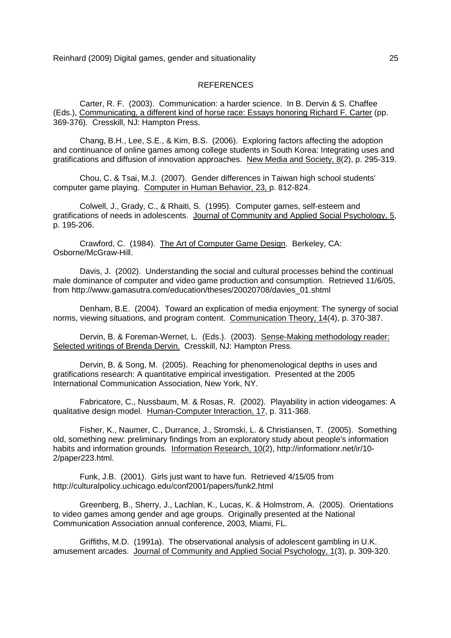## REFERENCES

Carter, R. F. (2003). Communication: a harder science. In B. Dervin & S. Chaffee (Eds.), Communicating, a different kind of horse race: Essays honoring Richard F. Carter (pp. 369-376). Cresskill, NJ: Hampton Press.

 Chang, B.H., Lee, S.E., & Kim, B.S. (2006). Exploring factors affecting the adoption and continuance of online games among college students in South Korea: Integrating uses and gratifications and diffusion of innovation approaches. New Media and Society, 8(2), p. 295-319.

 Chou, C. & Tsai, M.J. (2007). Gender differences in Taiwan high school students' computer game playing. Computer in Human Behavior, 23, p. 812-824.

 Colwell, J., Grady, C., & Rhaiti, S. (1995). Computer games, self-esteem and gratifications of needs in adolescents. Journal of Community and Applied Social Psychology, 5, p. 195-206.

 Crawford, C. (1984). The Art of Computer Game Design. Berkeley, CA: Osborne/McGraw-Hill.

 Davis, J. (2002). Understanding the social and cultural processes behind the continual male dominance of computer and video game production and consumption. Retrieved 11/6/05, from http://www.gamasutra.com/education/theses/20020708/davies\_01.shtml

 Denham, B.E. (2004). Toward an explication of media enjoyment: The synergy of social norms, viewing situations, and program content. Communication Theory, 14(4), p. 370-387.

Dervin, B. & Foreman-Wernet, L. (Eds.). (2003). Sense-Making methodology reader: Selected writings of Brenda Dervin. Cresskill, NJ: Hampton Press.

 Dervin, B. & Song, M. (2005). Reaching for phenomenological depths in uses and gratifications research: A quantitative empirical investigation. Presented at the 2005 International Communication Association, New York, NY.

 Fabricatore, C., Nussbaum, M. & Rosas, R. (2002). Playability in action videogames: A qualitative design model. Human-Computer Interaction, 17, p. 311-368.

 Fisher, K., Naumer, C., Durrance, J., Stromski, L. & Christiansen, T. (2005). Something old, something new: preliminary findings from an exploratory study about people's information habits and information grounds. Information Research, 10(2), http://informationr.net/ir/10- 2/paper223.html.

 Funk, J.B. (2001). Girls just want to have fun. Retrieved 4/15/05 from http://culturalpolicy.uchicago.edu/conf2001/papers/funk2.html

 Greenberg, B., Sherry, J., Lachlan, K., Lucas, K. & Holmstrom, A. (2005). Orientations to video games among gender and age groups. Originally presented at the National Communication Association annual conference, 2003, Miami, FL.

 Griffiths, M.D. (1991a). The observational analysis of adolescent gambling in U.K. amusement arcades. Journal of Community and Applied Social Psychology, 1(3), p. 309-320.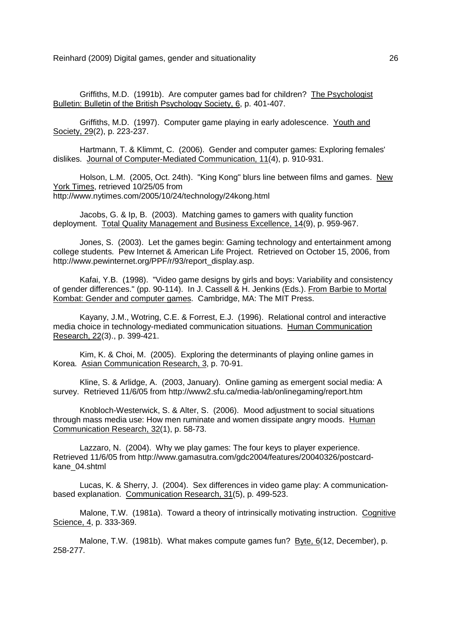Griffiths, M.D. (1991b). Are computer games bad for children? The Psychologist Bulletin: Bulletin of the British Psychology Society, 6, p. 401-407.

 Griffiths, M.D. (1997). Computer game playing in early adolescence. Youth and Society, 29(2), p. 223-237.

Hartmann, T. & Klimmt, C. (2006). Gender and computer games: Exploring females' dislikes. Journal of Computer-Mediated Communication, 11(4), p. 910-931.

 Holson, L.M. (2005, Oct. 24th). "King Kong" blurs line between films and games. New York Times, retrieved 10/25/05 from http://www.nytimes.com/2005/10/24/technology/24kong.html

 Jacobs, G. & Ip, B. (2003). Matching games to gamers with quality function deployment. Total Quality Management and Business Excellence, 14(9), p. 959-967.

 Jones, S. (2003). Let the games begin: Gaming technology and entertainment among college students. Pew Internet & American Life Project. Retrieved on October 15, 2006, from http://www.pewinternet.org/PPF/r/93/report\_display.asp.

 Kafai, Y.B. (1998). "Video game designs by girls and boys: Variability and consistency of gender differences." (pp. 90-114). In J. Cassell & H. Jenkins (Eds.). From Barbie to Mortal Kombat: Gender and computer games. Cambridge, MA: The MIT Press.

 Kayany, J.M., Wotring, C.E. & Forrest, E.J. (1996). Relational control and interactive media choice in technology-mediated communication situations. Human Communication Research, 22(3)., p. 399-421.

 Kim, K. & Choi, M. (2005). Exploring the determinants of playing online games in Korea. Asian Communication Research, 3, p. 70-91.

 Kline, S. & Arlidge, A. (2003, January). Online gaming as emergent social media: A survey. Retrieved 11/6/05 from http://www2.sfu.ca/media-lab/onlinegaming/report.htm

 Knobloch-Westerwick, S. & Alter, S. (2006). Mood adjustment to social situations through mass media use: How men ruminate and women dissipate angry moods. Human Communication Research, 32(1), p. 58-73.

 Lazzaro, N. (2004). Why we play games: The four keys to player experience. Retrieved 11/6/05 from http://www.gamasutra.com/gdc2004/features/20040326/postcardkane\_04.shtml

 Lucas, K. & Sherry, J. (2004). Sex differences in video game play: A communicationbased explanation. Communication Research, 31(5), p. 499-523.

 Malone, T.W. (1981a). Toward a theory of intrinsically motivating instruction. Cognitive Science, 4, p. 333-369.

 Malone, T.W. (1981b). What makes compute games fun? Byte, 6(12, December), p. 258-277.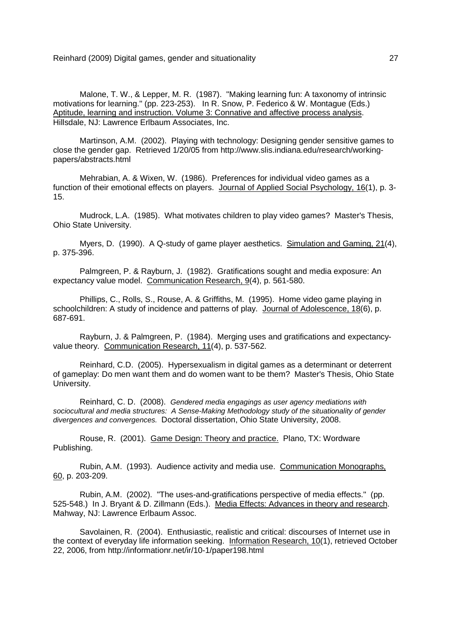Malone, T. W., & Lepper, M. R. (1987). "Making learning fun: A taxonomy of intrinsic motivations for learning." (pp. 223-253). In R. Snow, P. Federico & W. Montague (Eds.) Aptitude, learning and instruction. Volume 3: Connative and affective process analysis. Hillsdale, NJ: Lawrence Erlbaum Associates, Inc.

 Martinson, A.M. (2002). Playing with technology: Designing gender sensitive games to close the gender gap. Retrieved 1/20/05 from http://www.slis.indiana.edu/research/workingpapers/abstracts.html

 Mehrabian, A. & Wixen, W. (1986). Preferences for individual video games as a function of their emotional effects on players. Journal of Applied Social Psychology, 16(1), p. 3- 15.

 Mudrock, L.A. (1985). What motivates children to play video games? Master's Thesis, Ohio State University.

Myers, D. (1990). A Q-study of game player aesthetics. Simulation and Gaming, 21(4), p. 375-396.

 Palmgreen, P. & Rayburn, J. (1982). Gratifications sought and media exposure: An expectancy value model. Communication Research, 9(4), p. 561-580.

 Phillips, C., Rolls, S., Rouse, A. & Griffiths, M. (1995). Home video game playing in schoolchildren: A study of incidence and patterns of play. Journal of Adolescence, 18(6), p. 687-691.

 Rayburn, J. & Palmgreen, P. (1984). Merging uses and gratifications and expectancyvalue theory. Communication Research, 11(4), p. 537-562.

 Reinhard, C.D. (2005). Hypersexualism in digital games as a determinant or deterrent of gameplay: Do men want them and do women want to be them? Master's Thesis, Ohio State University.

 Reinhard, C. D. (2008). Gendered media engagings as user agency mediations with sociocultural and media structures: A Sense-Making Methodology study of the situationality of gender divergences and convergences. Doctoral dissertation, Ohio State University, 2008.

 Rouse, R. (2001). Game Design: Theory and practice. Plano, TX: Wordware Publishing.

 Rubin, A.M. (1993). Audience activity and media use. Communication Monographs, 60, p. 203-209.

 Rubin, A.M. (2002). "The uses-and-gratifications perspective of media effects." (pp. 525-548.) In J. Bryant & D. Zillmann (Eds.). Media Effects: Advances in theory and research. Mahway, NJ: Lawrence Erlbaum Assoc.

 Savolainen, R. (2004). Enthusiastic, realistic and critical: discourses of Internet use in the context of everyday life information seeking. Information Research, 10(1), retrieved October 22, 2006, from http://informationr.net/ir/10-1/paper198.html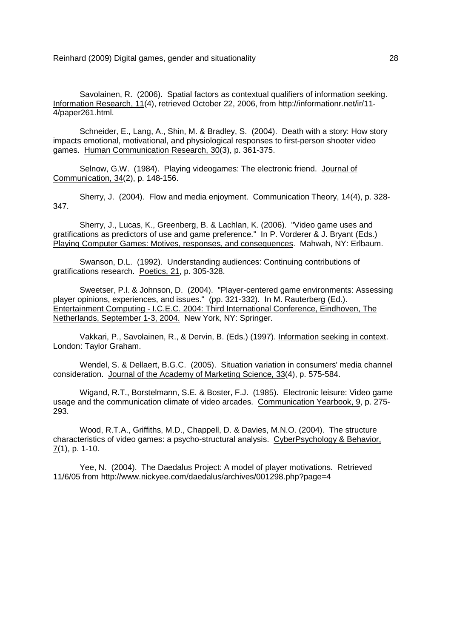Savolainen, R. (2006). Spatial factors as contextual qualifiers of information seeking. Information Research, 11(4), retrieved October 22, 2006, from http://informationr.net/ir/11- 4/paper261.html.

 Schneider, E., Lang, A., Shin, M. & Bradley, S. (2004). Death with a story: How story impacts emotional, motivational, and physiological responses to first-person shooter video games. Human Communication Research, 30(3), p. 361-375.

 Selnow, G.W. (1984). Playing videogames: The electronic friend. Journal of Communication, 34(2), p. 148-156.

 Sherry, J. (2004). Flow and media enjoyment. Communication Theory, 14(4), p. 328- 347.

 Sherry, J., Lucas, K., Greenberg, B. & Lachlan, K. (2006). "Video game uses and gratifications as predictors of use and game preference." In P. Vorderer & J. Bryant (Eds.) Playing Computer Games: Motives, responses, and consequences. Mahwah, NY: Erlbaum.

 Swanson, D.L. (1992). Understanding audiences: Continuing contributions of gratifications research. Poetics, 21, p. 305-328.

 Sweetser, P.l. & Johnson, D. (2004). "Player-centered game environments: Assessing player opinions, experiences, and issues." (pp. 321-332). In M. Rauterberg (Ed.). Entertainment Computing - I.C.E.C. 2004: Third International Conference, Eindhoven, The Netherlands, September 1-3, 2004. New York, NY: Springer.

 Vakkari, P., Savolainen, R., & Dervin, B. (Eds.) (1997). Information seeking in context. London: Taylor Graham.

 Wendel, S. & Dellaert, B.G.C. (2005). Situation variation in consumers' media channel consideration. Journal of the Academy of Marketing Science, 33(4), p. 575-584.

 Wigand, R.T., Borstelmann, S.E. & Boster, F.J. (1985). Electronic leisure: Video game usage and the communication climate of video arcades. Communication Yearbook, 9, p. 275- 293.

 Wood, R.T.A., Griffiths, M.D., Chappell, D. & Davies, M.N.O. (2004). The structure characteristics of video games: a psycho-structural analysis. CyberPsychology & Behavior,  $Z(1)$ , p. 1-10.

 Yee, N. (2004). The Daedalus Project: A model of player motivations. Retrieved 11/6/05 from http://www.nickyee.com/daedalus/archives/001298.php?page=4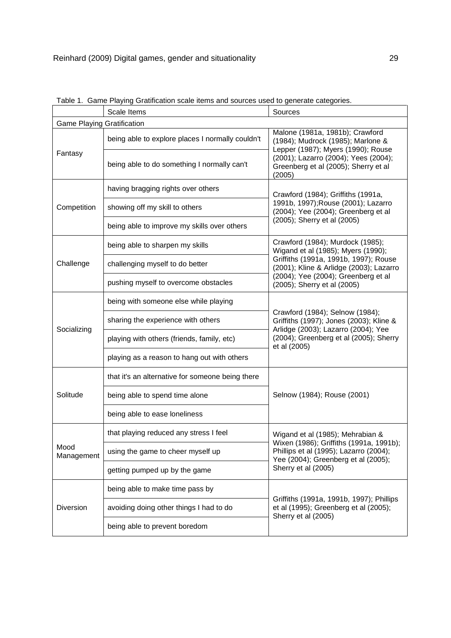|                                   | rabic T. Came I laying Cratinoation boaic items and boarbes doed to generate bategones.<br>Scale Items | Sources                                                                                                                  |  |  |  |  |  |  |  |  |
|-----------------------------------|--------------------------------------------------------------------------------------------------------|--------------------------------------------------------------------------------------------------------------------------|--|--|--|--|--|--|--|--|
| <b>Game Playing Gratification</b> |                                                                                                        |                                                                                                                          |  |  |  |  |  |  |  |  |
|                                   | being able to explore places I normally couldn't                                                       | Malone (1981a, 1981b); Crawford<br>(1984); Mudrock (1985); Marlone &<br>Lepper (1987); Myers (1990); Rouse               |  |  |  |  |  |  |  |  |
| Fantasy                           | being able to do something I normally can't                                                            | (2001); Lazarro (2004); Yees (2004);<br>Greenberg et al (2005); Sherry et al<br>(2005)                                   |  |  |  |  |  |  |  |  |
|                                   | having bragging rights over others                                                                     | Crawford (1984); Griffiths (1991a,                                                                                       |  |  |  |  |  |  |  |  |
| Competition                       | showing off my skill to others                                                                         | 1991b, 1997); Rouse (2001); Lazarro<br>(2004); Yee (2004); Greenberg et al                                               |  |  |  |  |  |  |  |  |
|                                   | being able to improve my skills over others                                                            | (2005); Sherry et al (2005)                                                                                              |  |  |  |  |  |  |  |  |
|                                   | being able to sharpen my skills                                                                        | Crawford (1984); Murdock (1985);<br>Wigand et al (1985); Myers (1990);                                                   |  |  |  |  |  |  |  |  |
| Challenge                         | challenging myself to do better                                                                        | Griffiths (1991a, 1991b, 1997); Rouse<br>(2001); Kline & Arlidge (2003); Lazarro                                         |  |  |  |  |  |  |  |  |
|                                   | pushing myself to overcome obstacles                                                                   | (2004); Yee (2004); Greenberg et al<br>(2005); Sherry et al (2005)                                                       |  |  |  |  |  |  |  |  |
|                                   | being with someone else while playing                                                                  | Crawford (1984); Selnow (1984);<br>Griffiths (1997); Jones (2003); Kline &<br>Arlidge (2003); Lazarro (2004); Yee        |  |  |  |  |  |  |  |  |
| Socializing                       | sharing the experience with others                                                                     |                                                                                                                          |  |  |  |  |  |  |  |  |
|                                   | playing with others (friends, family, etc)                                                             | (2004); Greenberg et al (2005); Sherry<br>et al (2005)                                                                   |  |  |  |  |  |  |  |  |
|                                   | playing as a reason to hang out with others                                                            |                                                                                                                          |  |  |  |  |  |  |  |  |
|                                   | that it's an alternative for someone being there                                                       |                                                                                                                          |  |  |  |  |  |  |  |  |
| Solitude                          | being able to spend time alone                                                                         | Selnow (1984); Rouse (2001)                                                                                              |  |  |  |  |  |  |  |  |
|                                   | being able to ease loneliness                                                                          |                                                                                                                          |  |  |  |  |  |  |  |  |
|                                   | that playing reduced any stress I feel                                                                 | Wigand et al (1985); Mehrabian &                                                                                         |  |  |  |  |  |  |  |  |
| Mood<br>Management                | using the game to cheer myself up                                                                      | Wixen (1986); Griffiths (1991a, 1991b);<br>Phillips et al (1995); Lazarro (2004);<br>Yee (2004); Greenberg et al (2005); |  |  |  |  |  |  |  |  |
|                                   | getting pumped up by the game                                                                          | Sherry et al (2005)                                                                                                      |  |  |  |  |  |  |  |  |
|                                   | being able to make time pass by                                                                        |                                                                                                                          |  |  |  |  |  |  |  |  |
| Diversion                         | avoiding doing other things I had to do                                                                | Griffiths (1991a, 1991b, 1997); Phillips<br>et al (1995); Greenberg et al (2005);<br>Sherry et al (2005)                 |  |  |  |  |  |  |  |  |
|                                   | being able to prevent boredom                                                                          |                                                                                                                          |  |  |  |  |  |  |  |  |

Table 1. Game Playing Gratification scale items and sources used to generate categories.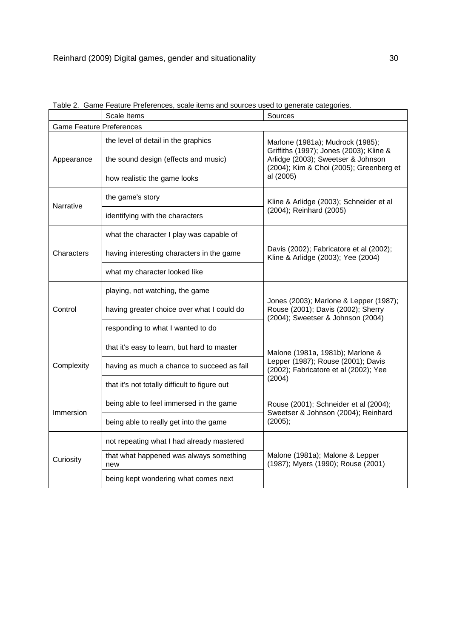|                                 | Scale Items                                    | Sources                                                                                                                  |  |  |  |
|---------------------------------|------------------------------------------------|--------------------------------------------------------------------------------------------------------------------------|--|--|--|
| <b>Game Feature Preferences</b> |                                                |                                                                                                                          |  |  |  |
|                                 | the level of detail in the graphics            | Marlone (1981a); Mudrock (1985);                                                                                         |  |  |  |
| Appearance                      | the sound design (effects and music)           | Griffiths (1997); Jones (2003); Kline &<br>Arlidge (2003); Sweetser & Johnson<br>(2004); Kim & Choi (2005); Greenberg et |  |  |  |
|                                 | how realistic the game looks                   | al (2005)                                                                                                                |  |  |  |
| Narrative                       | the game's story                               | Kline & Arlidge (2003); Schneider et al<br>(2004); Reinhard (2005)                                                       |  |  |  |
|                                 | identifying with the characters                |                                                                                                                          |  |  |  |
|                                 | what the character I play was capable of       |                                                                                                                          |  |  |  |
| Characters                      | having interesting characters in the game      | Davis (2002); Fabricatore et al (2002);<br>Kline & Arlidge (2003); Yee (2004)                                            |  |  |  |
|                                 | what my character looked like                  |                                                                                                                          |  |  |  |
| Control                         | playing, not watching, the game                | Jones (2003); Marlone & Lepper (1987);                                                                                   |  |  |  |
|                                 | having greater choice over what I could do     | Rouse (2001); Davis (2002); Sherry<br>(2004); Sweetser & Johnson (2004)                                                  |  |  |  |
|                                 | responding to what I wanted to do              |                                                                                                                          |  |  |  |
|                                 | that it's easy to learn, but hard to master    | Malone (1981a, 1981b); Marlone &<br>Lepper (1987); Rouse (2001); Davis<br>(2002); Fabricatore et al (2002); Yee          |  |  |  |
| Complexity                      | having as much a chance to succeed as fail     |                                                                                                                          |  |  |  |
|                                 | that it's not totally difficult to figure out  | (2004)                                                                                                                   |  |  |  |
| Immersion                       | being able to feel immersed in the game        | Rouse (2001); Schneider et al (2004);<br>Sweetser & Johnson (2004); Reinhard                                             |  |  |  |
|                                 | being able to really get into the game         | (2005);                                                                                                                  |  |  |  |
|                                 | not repeating what I had already mastered      |                                                                                                                          |  |  |  |
| Curiosity                       | that what happened was always something<br>new | Malone (1981a); Malone & Lepper<br>(1987); Myers (1990); Rouse (2001)                                                    |  |  |  |
|                                 | being kept wondering what comes next           |                                                                                                                          |  |  |  |

|  |                             | Table 2. Game Feature Preferences, scale items and sources used to generate categories. |
|--|-----------------------------|-----------------------------------------------------------------------------------------|
|  | $\sim$ $\sim$ $\sim$ $\sim$ |                                                                                         |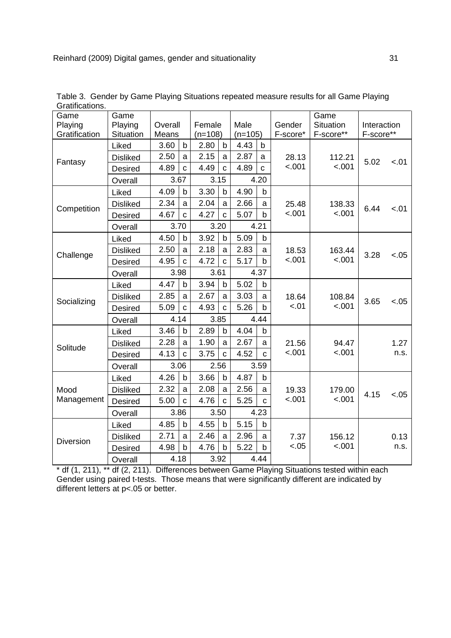| Game<br>Playing<br>Gratification | Game<br>Playing<br>Situation | Overall<br>Means |              | Female<br>$(n=108)$ |              | Male<br>$(n=105)$ |              | Gender<br>F-score* | Game<br>Situation<br>F-score** | Interaction<br>F-score** |        |
|----------------------------------|------------------------------|------------------|--------------|---------------------|--------------|-------------------|--------------|--------------------|--------------------------------|--------------------------|--------|
|                                  | Liked                        | 3.60             | b            | 2.80                | b            | 4.43              | $\mathsf b$  |                    |                                |                          |        |
|                                  | <b>Disliked</b>              | 2.50             | a            | 2.15                | a            | 2.87              | a            | 28.13              | 112.21                         |                          |        |
| Fantasy                          | <b>Desired</b>               | 4.89             | $\mathbf c$  | 4.49                | $\mathbf c$  | 4.89              | $\mathbf C$  | < .001             | < .001                         | 5.02                     | $-.01$ |
|                                  | Overall                      |                  | 3.67         |                     | 3.15         |                   | 4.20         |                    |                                |                          |        |
|                                  | Liked                        | 4.09             | $\mathsf b$  | 3.30                | b            | 4.90              | $\mathsf b$  |                    |                                |                          |        |
| Competition                      | <b>Disliked</b>              | 2.34             | a            | 2.04                | a            | 2.66              | a            | 25.48              | 138.33                         | 6.44                     | < .01  |
|                                  | Desired                      | 4.67             | C            | 4.27                | C            | 5.07              | $\mathsf b$  | < .001             | < .001                         |                          |        |
|                                  | Overall                      |                  | 3.70         |                     | 3.20         |                   | 4.21         |                    |                                |                          |        |
|                                  | Liked                        | 4.50             | $\mathsf b$  | 3.92                | b            | 5.09              | $\mathsf b$  |                    |                                |                          |        |
| Challenge                        | <b>Disliked</b>              | 2.50             | a            | 2.18                | a            | 2.83              | a            | 18.53              | 163.44                         | 3.28                     | $-.05$ |
|                                  | Desired                      | 4.95             | $\mathbf{C}$ | 4.72                | $\mathbf{c}$ | 5.17              | $\mathsf b$  | < .001             | < .001                         |                          |        |
|                                  | Overall                      |                  | 3.98         | 3.61                |              | 4.37              |              |                    |                                |                          |        |
|                                  | Liked                        | 4.47             | $\mathsf b$  | 3.94                | b            | 5.02              | $\mathsf b$  |                    |                                |                          |        |
| Socializing                      | <b>Disliked</b>              | 2.85             | a            | 2.67                | a            | 3.03              | a            | 18.64              | 108.84                         | 3.65                     | $-.05$ |
|                                  | <b>Desired</b>               | 5.09             | $\mathbf{C}$ | 4.93                | $\mathbf c$  | 5.26              | b            | $-.01$             | < .001                         |                          |        |
|                                  | Overall                      |                  | 4.14         |                     | 3.85         |                   | 4.44         |                    |                                |                          |        |
|                                  | Liked                        | 3.46             | $\mathsf b$  | 2.89                | þ            | 4.04              | b            |                    |                                |                          |        |
| Solitude                         | <b>Disliked</b>              | 2.28             | a            | 1.90                | a            | 2.67              | $\mathsf{a}$ | 21.56              | 94.47                          |                          | 1.27   |
|                                  | Desired                      | 4.13             | $\mathbf c$  | 3.75                | $\mathbf c$  | 4.52              | $\mathbf C$  | < .001             | $-.001$                        |                          | n.s.   |
|                                  | Overall                      |                  | 3.06         | 2.56                |              |                   | 3.59         |                    |                                |                          |        |
|                                  | Liked                        | 4.26             | $\mathsf b$  | 3.66                | b            | 4.87              | b            |                    |                                |                          |        |
| Mood                             | <b>Disliked</b>              | 2.32             | a            | 2.08                | a            | 2.56              | a            | 19.33              | 179.00                         | 4.15                     | $-.05$ |
| Management                       | Desired                      | 5.00             | $\mathbf{C}$ | 4.76                | $\mathbf{C}$ | 5.25              | $\mathbf{C}$ | < .001             | < .001                         |                          |        |
|                                  | Overall                      |                  | 3.86         |                     | 3.50         |                   | 4.23         |                    |                                |                          |        |
|                                  | Liked                        | 4.85             | b            | 4.55                | b            | 5.15              | b            |                    |                                |                          |        |
| <b>Diversion</b>                 | <b>Disliked</b>              | 2.71             | a            | 2.46                | a            | 2.96              | a            | 7.37               | 156.12                         |                          | 0.13   |
|                                  | <b>Desired</b>               | 4.98             | $\mathsf b$  | 4.76                | $\mathsf b$  | 5.22              | b            | $-.05$             | $-.001$                        |                          | n.s.   |
|                                  | Overall                      | 4.18             |              | 3.92                |              |                   | 4.44         |                    |                                |                          |        |

Table 3. Gender by Game Playing Situations repeated measure results for all Game Playing Gratifications.

\* df (1, 211), \*\* df (2, 211). Differences between Game Playing Situations tested within each Gender using paired t-tests. Those means that were significantly different are indicated by different letters at p<.05 or better.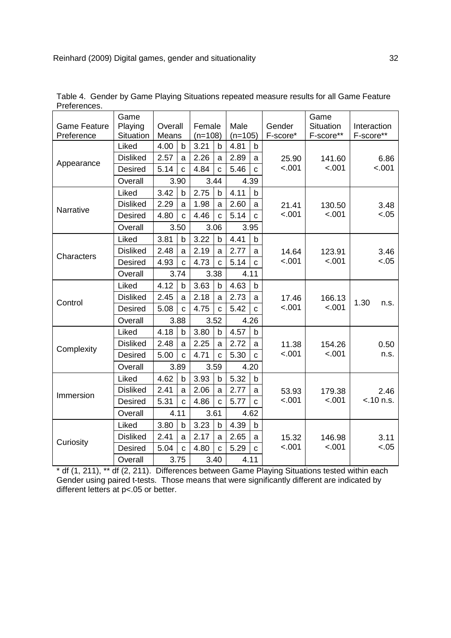| <b>Game Feature</b><br>Preference | Game<br>Playing<br>Situation | Overall<br>Means |              | Female<br>$(n=108)$ |              | Male<br>$(n=105)$ |              | Gender<br>F-score* | Game<br>Situation<br>F-score** | Interaction<br>F-score** |
|-----------------------------------|------------------------------|------------------|--------------|---------------------|--------------|-------------------|--------------|--------------------|--------------------------------|--------------------------|
|                                   | Liked                        | 4.00             | b            | 3.21                | b            | 4.81              | b            |                    |                                |                          |
|                                   | <b>Disliked</b>              | 2.57             | a            | 2.26                | a            | 2.89              | a            | 25.90              | 141.60                         | 6.86                     |
| Appearance                        | <b>Desired</b>               | 5.14             | $\mathbf{C}$ | 4.84                | $\mathbf c$  | 5.46              | $\mathbf{C}$ | < .001             | < .001                         | $-.001$                  |
|                                   | Overall                      |                  | 3.90         |                     | 3.44         |                   | 4.39         |                    |                                |                          |
|                                   | Liked                        | 3.42             | b            | 2.75                | b            | 4.11              | b            |                    |                                |                          |
| Narrative                         | <b>Disliked</b>              | 2.29             | a            | 1.98                | a            | 2.60              | a            | 21.41              | 130.50                         | 3.48                     |
|                                   | <b>Desired</b>               | 4.80             | $\mathbf C$  | 4.46                | $\mathbf C$  | 5.14              | $\mathbf c$  | < .001             | $-.001$                        | < .05                    |
|                                   | Overall                      |                  | 3.50         |                     | 3.06         |                   | 3.95         |                    |                                |                          |
|                                   | Liked                        | 3.81             | $\mathsf b$  | 3.22                | $\mathsf b$  | 4.41              | b            |                    |                                |                          |
| Characters                        | <b>Disliked</b>              | 2.48             | a            | 2.19                | a            | 2.77              | a            | 14.64              | 123.91                         | 3.46                     |
|                                   | <b>Desired</b>               | 4.93             | $\mathbf{C}$ | 4.73                | $\mathbf{C}$ | 5.14              | $\mathbf{C}$ | $-.001$            | < .001                         | $-.05$                   |
|                                   | Overall                      |                  | 3.74         | 3.38                |              | 4.11              |              |                    |                                |                          |
|                                   | Liked                        | 4.12             | $\mathbf b$  | 3.63                | b            | 4.63              | b            |                    |                                |                          |
| Control                           | <b>Disliked</b>              | 2.45             | a            | 2.18                | a            | 2.73              | a            | 17.46              | 166.13                         | 1.30                     |
|                                   | <b>Desired</b>               | 5.08             | $\mathbf{C}$ | 4.75                | $\mathbf{C}$ | 5.42              | $\mathbf{C}$ | $-.001$            | $-.001$                        | n.s.                     |
|                                   | Overall                      |                  | 3.88         | 3.52                |              |                   | 4.26         |                    |                                |                          |
|                                   | Liked                        | 4.18             | $\mathsf b$  | 3.80                | $\mathsf b$  | 4.57              | b            |                    |                                |                          |
|                                   | <b>Disliked</b>              | 2.48             | a            | 2.25                | a            | 2.72              | a            | 11.38              | 154.26                         | 0.50                     |
| Complexity                        | <b>Desired</b>               | 5.00             | $\mathbf{C}$ | 4.71                | $\mathbf{C}$ | 5.30              | $\mathbf{C}$ | < .001             | < .001                         | n.s.                     |
|                                   | Overall                      |                  | 3.89         | 3.59                |              |                   | 4.20         |                    |                                |                          |
|                                   | Liked                        | 4.62             | b            | 3.93                | b            | 5.32              | b            |                    |                                |                          |
| Immersion                         | <b>Disliked</b>              | 2.41             | a            | 2.06                | a            | 2.77              | a            | 53.93              | 179.38                         | 2.46                     |
|                                   | <b>Desired</b>               | 5.31             | $\mathbf C$  | 4.86                | $\mathbf C$  | 5.77              | C            | $-.001$            | $-.001$                        | $< .10$ n.s.             |
|                                   | Overall                      |                  | 4.11         |                     | 3.61         |                   | 4.62         |                    |                                |                          |
|                                   | Liked                        | 3.80             | $\mathsf{b}$ | 3.23                | $\mathsf b$  | 4.39              | b            |                    |                                |                          |
|                                   | <b>Disliked</b>              | 2.41             | a            | 2.17                | a            | 2.65              | a            | 15.32              | 146.98                         | 3.11                     |
| Curiosity                         | <b>Desired</b>               | 5.04             | $\mathbf{c}$ | 4.80                | $\mathbf{c}$ | 5.29              | $\mathbf{c}$ | $-.001$            | $-.001$                        | $-.05$                   |
|                                   | Overall                      |                  | 3.75         |                     | 3.40         |                   | 4.11         |                    |                                |                          |

Table 4. Gender by Game Playing Situations repeated measure results for all Game Feature Preferences.

\* df (1, 211), \*\* df (2, 211). Differences between Game Playing Situations tested within each Gender using paired t-tests. Those means that were significantly different are indicated by different letters at p<.05 or better.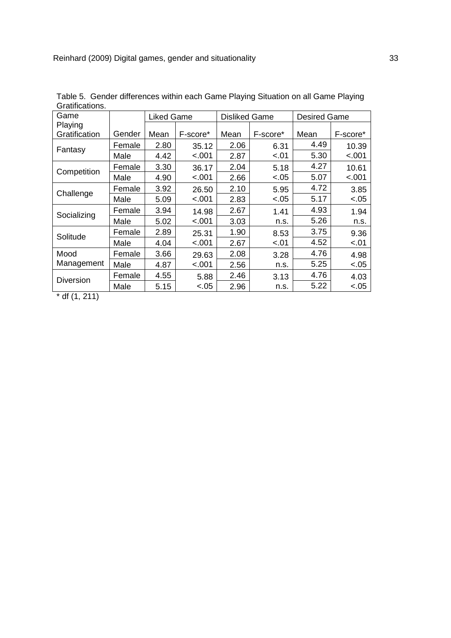| uraunvauvno.     |        |                   |          |                      |          |                     |          |  |  |
|------------------|--------|-------------------|----------|----------------------|----------|---------------------|----------|--|--|
| Game             |        | <b>Liked Game</b> |          | <b>Disliked Game</b> |          | <b>Desired Game</b> |          |  |  |
| Playing          |        |                   |          |                      |          |                     |          |  |  |
| Gratification    | Gender | Mean              | F-score* | Mean                 | F-score* | Mean                | F-score* |  |  |
| Fantasy          | Female | 2.80              | 35.12    | 2.06                 | 6.31     | 4.49                | 10.39    |  |  |
|                  | Male   | 4.42              | < .001   | 2.87                 | $-.01$   | 5.30                | $-.001$  |  |  |
| Competition      | Female | 3.30              | 36.17    | 2.04                 | 5.18     | 4.27                | 10.61    |  |  |
|                  | Male   | 4.90              | $-.001$  | 2.66                 | $-.05$   | 5.07                | $-.001$  |  |  |
| Challenge        | Female | 3.92              | 26.50    | 2.10                 | 5.95     | 4.72                | 3.85     |  |  |
|                  | Male   | 5.09              | $-.001$  | 2.83                 | $-.05$   | 5.17                | $-.05$   |  |  |
| Socializing      | Female | 3.94              | 14.98    | 2.67                 | 1.41     | 4.93                | 1.94     |  |  |
|                  | Male   | 5.02              | <.001    | 3.03                 | n.s.     | 5.26                | n.s.     |  |  |
| Solitude         | Female | 2.89              | 25.31    | 1.90                 | 8.53     | 3.75                | 9.36     |  |  |
|                  | Male   | 4.04              | $-.001$  | 2.67                 | $-.01$   | 4.52                | $-.01$   |  |  |
| Mood             | Female | 3.66              | 29.63    | 2.08                 | 3.28     | 4.76                | 4.98     |  |  |
| Management       | Male   | 4.87              | $-.001$  | 2.56                 | n.s.     | 5.25                | $-.05$   |  |  |
| <b>Diversion</b> | Female | 4.55              | 5.88     | 2.46                 | 3.13     | 4.76                | 4.03     |  |  |
|                  | Male   | 5.15              | $-.05$   | 2.96                 | n.s.     | 5.22                | $-.05$   |  |  |

Table 5. Gender differences within each Game Playing Situation on all Game Playing Gratifications.

 $*$  df  $(1, 211)$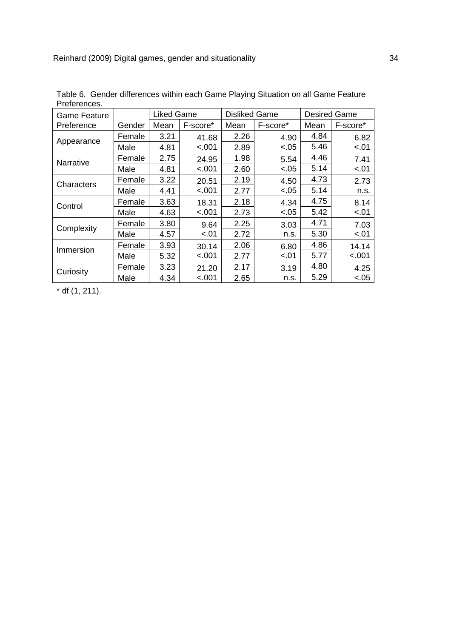| Game Feature |        | <b>Liked Game</b> |          | <b>Disliked Game</b> |          | <b>Desired Game</b> |          |  |
|--------------|--------|-------------------|----------|----------------------|----------|---------------------|----------|--|
| Preference   | Gender | Mean              | F-score* | Mean                 | F-score* | Mean                | F-score* |  |
|              | Female | 3.21              | 41.68    | 2.26                 | 4.90     | 4.84                | 6.82     |  |
| Appearance   | Male   | 4.81              | $-.001$  | 2.89                 | $-.05$   | 5.46                | $-.01$   |  |
| Narrative    | Female | 2.75              | 24.95    | 1.98                 | 5.54     | 4.46                | 7.41     |  |
|              | Male   | 4.81              | $-.001$  | 2.60                 | $-.05$   | 5.14                | $-.01$   |  |
| Characters   | Female | 3.22              | 20.51    | 2.19                 | 4.50     | 4.73                | 2.73     |  |
|              | Male   | 4.41              | $-.001$  | 2.77                 | $-.05$   | 5.14                | n.s.     |  |
| Control      | Female | 3.63              | 18.31    | 2.18                 | 4.34     | 4.75                | 8.14     |  |
|              | Male   | 4.63              | <.001    | 2.73                 | $-.05$   | 5.42                | $-.01$   |  |
| Complexity   | Female | 3.80              | 9.64     | 2.25                 | 3.03     | 4.71                | 7.03     |  |
|              | Male   | 4.57              | $-.01$   | 2.72                 | n.s.     | 5.30                | $-.01$   |  |
| Immersion    | Female | 3.93              | 30.14    | 2.06                 | 6.80     | 4.86                | 14.14    |  |
|              | Male   | 5.32              | $-.001$  | 2.77                 | $-.01$   | 5.77                | $-.001$  |  |
| Curiosity    | Female | 3.23              | 21.20    | 2.17                 | 3.19     | 4.80                | 4.25     |  |
|              | Male   | 4.34              | $-.001$  | 2.65                 | n.s.     | 5.29                | $-.05$   |  |

Table 6. Gender differences within each Game Playing Situation on all Game Feature Preferences.

\* df (1, 211).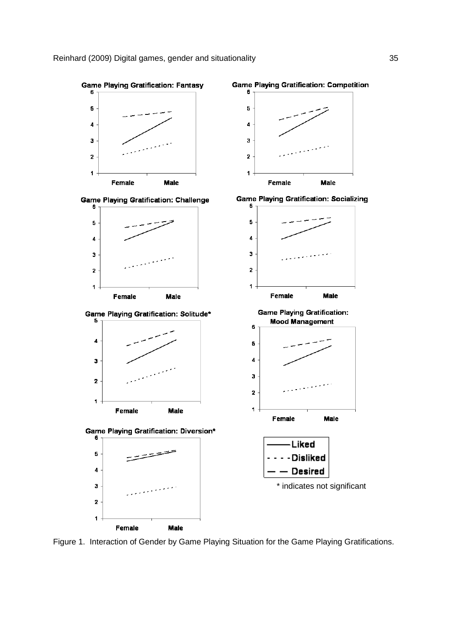

Figure 1. Interaction of Gender by Game Playing Situation for the Game Playing Gratifications.